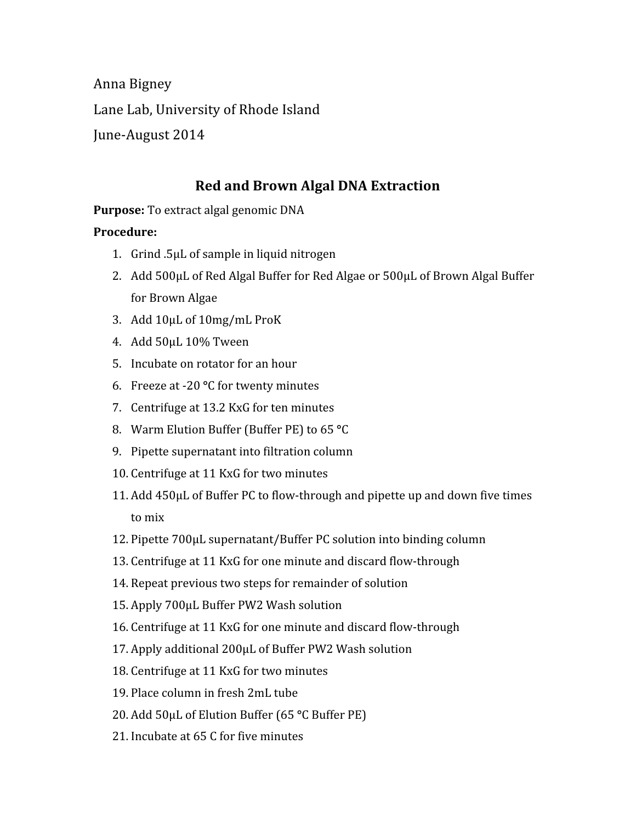Anna Bigney Lane Lab, University of Rhode Island June‐August 2014

## **Red and Brown Algal DNA Extraction**

**Purpose:** To extract algal genomic DNA

## **Procedure:**

- 1. Grind .5μL of sample in liquid nitrogen
- 2. Add 500μL of Red Algal Buffer for Red Algae or 500μL of Brown Algal Buffer for Brown Algae
- 3. Add 10μL of 10mg/mL ProK
- 4. Add 50μL 10% Tween
- 5. Incubate on rotator for an hour
- 6. Freeze at ‐20 **°**C for twenty minutes
- 7. Centrifuge at 13.2 KxG for ten minutes
- 8. Warm Elution Buffer (Buffer PE) to 65 **°**C
- 9. Pipette supernatant into filtration column
- 10. Centrifuge at 11 KxG for two minutes
- 11. Add 450μL of Buffer PC to flow‐through and pipette up and down five times to mix
- 12. Pipette 700μL supernatant/Buffer PC solution into binding column
- 13. Centrifuge at 11 KxG for one minute and discard flow‐through
- 14. Repeat previous two steps for remainder of solution
- 15. Apply 700μL Buffer PW2 Wash solution
- 16. Centrifuge at 11 KxG for one minute and discard flow‐through
- 17. Apply additional 200μL of Buffer PW2 Wash solution
- 18. Centrifuge at 11 KxG for two minutes
- 19. Place column in fresh 2mL tube
- 20. Add 50μL of Elution Buffer (65 **°**C Buffer PE)
- 21. Incubate at 65 C for five minutes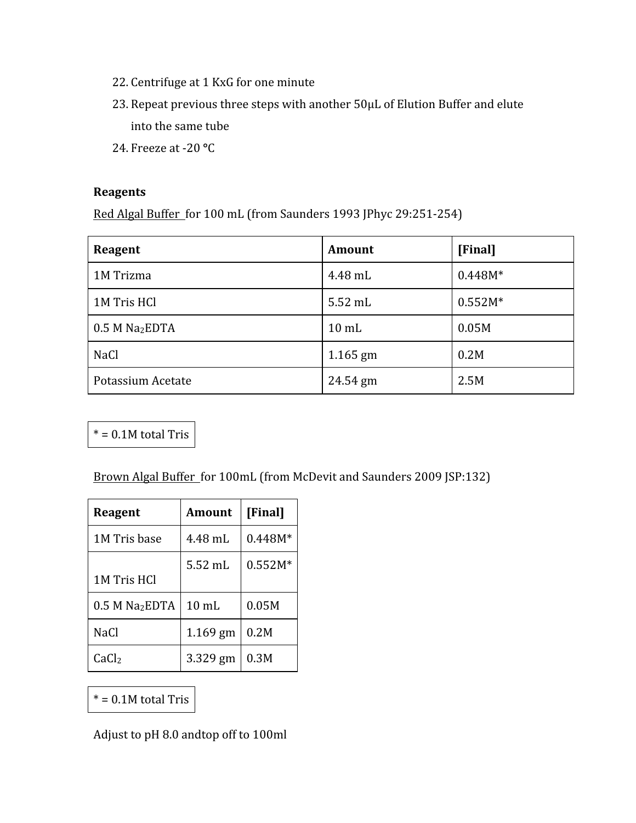- 22. Centrifuge at 1 KxG for one minute
- 23. Repeat previous three steps with another 50μL of Elution Buffer and elute into the same tube
- 24. Freeze at ‐20 **°**C

## **Reagents**

Red Algal Buffer for 100 mL (from Saunders 1993 JPhyc 29:251‐254)

| Reagent                      | <b>Amount</b>   | [Final]   |
|------------------------------|-----------------|-----------|
| 1M Trizma                    | 4.48 mL         | $0.448M*$ |
| 1M Tris HCl                  | 5.52 mL         | $0.552M*$ |
| $0.5$ M Na <sub>2</sub> EDTA | $10 \text{ mL}$ | 0.05M     |
| <b>NaCl</b>                  | $1.165$ gm      | 0.2M      |
| Potassium Acetate            | 24.54 gm        | 2.5M      |

 $* = 0.1M$  total Tris

Brown Algal Buffer for 100mL (from McDevit and Saunders 2009 JSP:132)

| Reagent                      | <b>Amount</b>   | [Final]   |
|------------------------------|-----------------|-----------|
| 1M Tris base                 | 4.48 mL         | $0.448M*$ |
| 1M Tris HCl                  | $5.52$ mL       | $0.552M*$ |
| $0.5$ M Na <sub>2</sub> EDTA | $10 \text{ mL}$ | 0.05M     |
| NaCl                         | $1.169$ gm      | 0.2M      |
| CaCl <sub>2</sub>            | 3.329 gm        | 0.3M      |

 $* = 0.1M$  total Tris

Adjust to pH 8.0 andtop off to 100ml